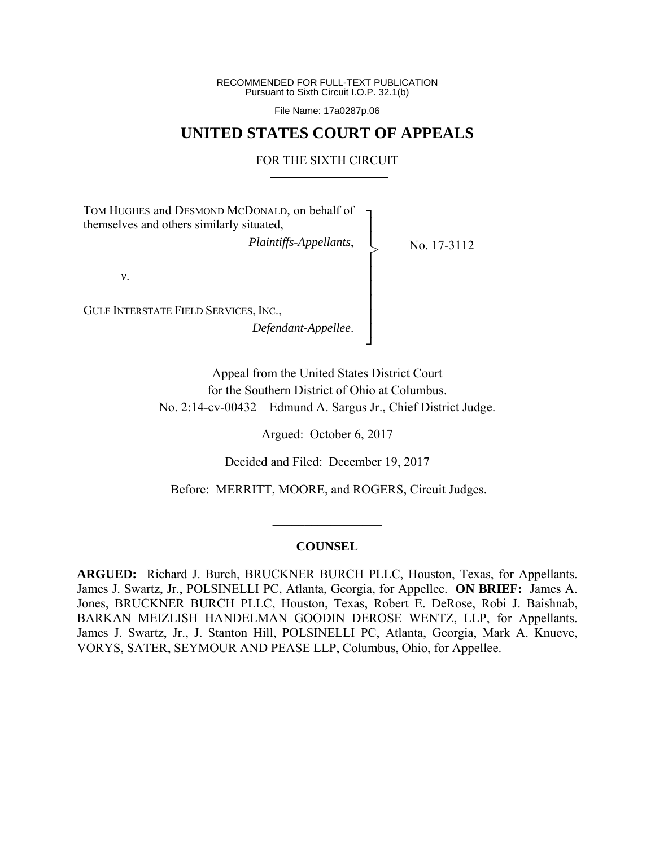RECOMMENDED FOR FULL-TEXT PUBLICATION Pursuant to Sixth Circuit I.O.P. 32.1(b)

File Name: 17a0287p.06

# **UNITED STATES COURT OF APPEALS**

# FOR THE SIXTH CIRCUIT

│ │ │ │ │ │ ┘

>

TOM HUGHES and DESMOND MCDONALD, on behalf of themselves and others similarly situated, ┐ │ │

*Plaintiffs-Appellants*,

No. 17-3112

*v*.

GULF INTERSTATE FIELD SERVICES, INC., *Defendant-Appellee*.

> Appeal from the United States District Court for the Southern District of Ohio at Columbus. No. 2:14-cv-00432—Edmund A. Sargus Jr., Chief District Judge.

> > Argued: October 6, 2017

Decided and Filed: December 19, 2017

Before: MERRITT, MOORE, and ROGERS, Circuit Judges.

# **COUNSEL**

 $\frac{1}{2}$ 

**ARGUED:** Richard J. Burch, BRUCKNER BURCH PLLC, Houston, Texas, for Appellants. James J. Swartz, Jr., POLSINELLI PC, Atlanta, Georgia, for Appellee. **ON BRIEF:** James A. Jones, BRUCKNER BURCH PLLC, Houston, Texas, Robert E. DeRose, Robi J. Baishnab, BARKAN MEIZLISH HANDELMAN GOODIN DEROSE WENTZ, LLP, for Appellants. James J. Swartz, Jr., J. Stanton Hill, POLSINELLI PC, Atlanta, Georgia, Mark A. Knueve, VORYS, SATER, SEYMOUR AND PEASE LLP, Columbus, Ohio, for Appellee.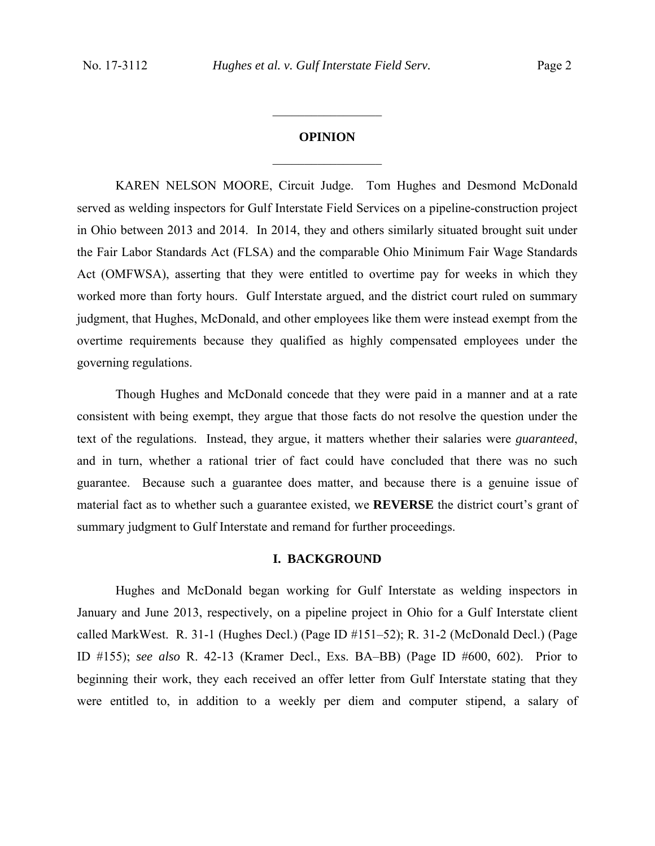# **OPINION**

 $\frac{1}{2}$ 

 $\frac{1}{2}$ 

KAREN NELSON MOORE, Circuit Judge. Tom Hughes and Desmond McDonald served as welding inspectors for Gulf Interstate Field Services on a pipeline-construction project in Ohio between 2013 and 2014. In 2014, they and others similarly situated brought suit under the Fair Labor Standards Act (FLSA) and the comparable Ohio Minimum Fair Wage Standards Act (OMFWSA), asserting that they were entitled to overtime pay for weeks in which they worked more than forty hours. Gulf Interstate argued, and the district court ruled on summary judgment, that Hughes, McDonald, and other employees like them were instead exempt from the overtime requirements because they qualified as highly compensated employees under the governing regulations.

Though Hughes and McDonald concede that they were paid in a manner and at a rate consistent with being exempt, they argue that those facts do not resolve the question under the text of the regulations. Instead, they argue, it matters whether their salaries were *guaranteed*, and in turn, whether a rational trier of fact could have concluded that there was no such guarantee. Because such a guarantee does matter, and because there is a genuine issue of material fact as to whether such a guarantee existed, we **REVERSE** the district court's grant of summary judgment to Gulf Interstate and remand for further proceedings.

#### **I. BACKGROUND**

 Hughes and McDonald began working for Gulf Interstate as welding inspectors in January and June 2013, respectively, on a pipeline project in Ohio for a Gulf Interstate client called MarkWest. R. 31-1 (Hughes Decl.) (Page ID #151–52); R. 31-2 (McDonald Decl.) (Page ID #155); *see also* R. 42-13 (Kramer Decl., Exs. BA–BB) (Page ID #600, 602). Prior to beginning their work, they each received an offer letter from Gulf Interstate stating that they were entitled to, in addition to a weekly per diem and computer stipend, a salary of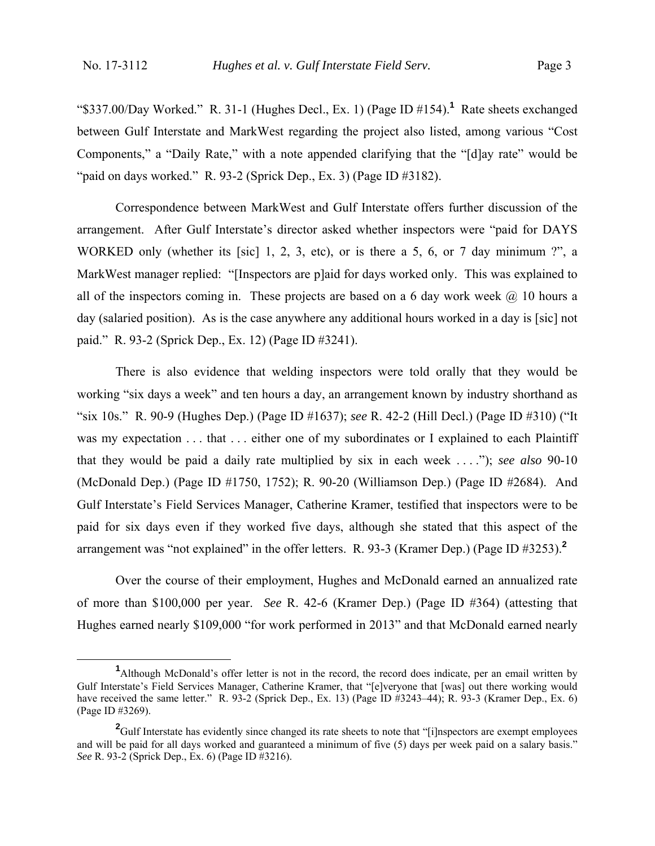"\$337.00/Day Worked." R. 31-1 (Hughes Decl., Ex. 1) (Page ID #154).**<sup>1</sup>** Rate sheets exchanged between Gulf Interstate and MarkWest regarding the project also listed, among various "Cost Components," a "Daily Rate," with a note appended clarifying that the "[d]ay rate" would be "paid on days worked." R. 93-2 (Sprick Dep., Ex. 3) (Page ID #3182).

Correspondence between MarkWest and Gulf Interstate offers further discussion of the arrangement. After Gulf Interstate's director asked whether inspectors were "paid for DAYS WORKED only (whether its [sic] 1, 2, 3, etc), or is there a 5, 6, or 7 day minimum ?", a MarkWest manager replied: "[Inspectors are p]aid for days worked only. This was explained to all of the inspectors coming in. These projects are based on a 6 day work week  $\omega$  10 hours a day (salaried position). As is the case anywhere any additional hours worked in a day is [sic] not paid." R. 93-2 (Sprick Dep., Ex. 12) (Page ID #3241).

There is also evidence that welding inspectors were told orally that they would be working "six days a week" and ten hours a day, an arrangement known by industry shorthand as "six 10s." R. 90-9 (Hughes Dep.) (Page ID #1637); *see* R. 42-2 (Hill Decl.) (Page ID #310) ("It was my expectation . . . that . . . either one of my subordinates or I explained to each Plaintiff that they would be paid a daily rate multiplied by six in each week . . . ."); *see also* 90-10 (McDonald Dep.) (Page ID #1750, 1752); R. 90-20 (Williamson Dep.) (Page ID #2684). And Gulf Interstate's Field Services Manager, Catherine Kramer, testified that inspectors were to be paid for six days even if they worked five days, although she stated that this aspect of the arrangement was "not explained" in the offer letters. R. 93-3 (Kramer Dep.) (Page ID #3253).**<sup>2</sup>**

Over the course of their employment, Hughes and McDonald earned an annualized rate of more than \$100,000 per year. *See* R. 42-6 (Kramer Dep.) (Page ID #364) (attesting that Hughes earned nearly \$109,000 "for work performed in 2013" and that McDonald earned nearly

<sup>&</sup>lt;u>1</u> <sup>1</sup>Although McDonald's offer letter is not in the record, the record does indicate, per an email written by Gulf Interstate's Field Services Manager, Catherine Kramer, that "[e]veryone that [was] out there working would have received the same letter." R. 93-2 (Sprick Dep., Ex. 13) (Page ID #3243–44); R. 93-3 (Kramer Dep., Ex. 6) (Page ID #3269).

<sup>&</sup>lt;sup>2</sup>Gulf Interstate has evidently since changed its rate sheets to note that "[i]nspectors are exempt employees and will be paid for all days worked and guaranteed a minimum of five (5) days per week paid on a salary basis." *See* R. 93-2 (Sprick Dep., Ex. 6) (Page ID #3216).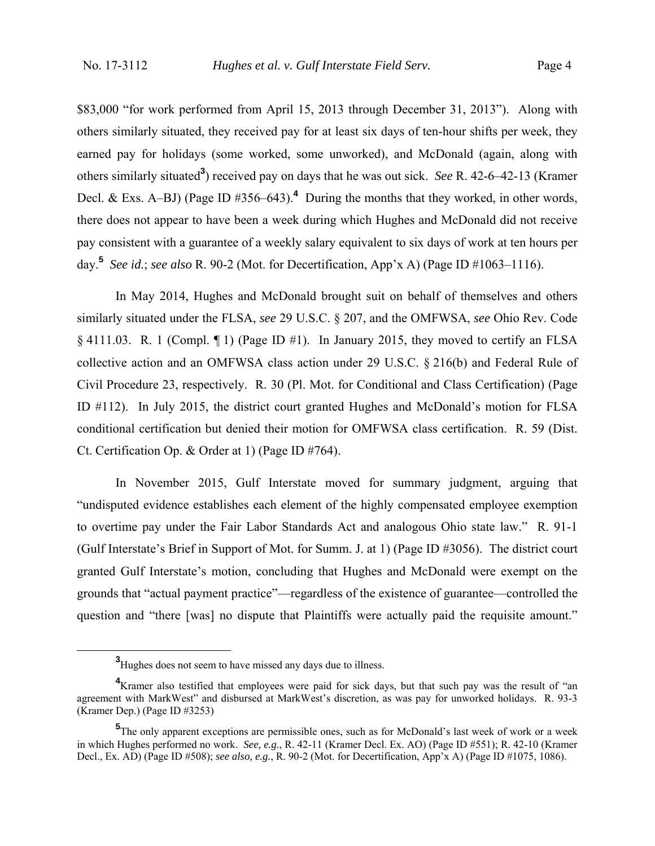\$83,000 "for work performed from April 15, 2013 through December 31, 2013"). Along with others similarly situated, they received pay for at least six days of ten-hour shifts per week, they earned pay for holidays (some worked, some unworked), and McDonald (again, along with others similarly situated**<sup>3</sup>** ) received pay on days that he was out sick. *See* R. 42-6–42-13 (Kramer Decl. & Exs. A–BJ) (Page ID #356–643).<sup>4</sup> During the months that they worked, in other words, there does not appear to have been a week during which Hughes and McDonald did not receive pay consistent with a guarantee of a weekly salary equivalent to six days of work at ten hours per day.**<sup>5</sup>** *See id.*; *see also* R. 90-2 (Mot. for Decertification, App'x A) (Page ID #1063–1116).

In May 2014, Hughes and McDonald brought suit on behalf of themselves and others similarly situated under the FLSA, *see* 29 U.S.C. § 207, and the OMFWSA, *see* Ohio Rev. Code § 4111.03. R. 1 (Compl. ¶ 1) (Page ID #1). In January 2015, they moved to certify an FLSA collective action and an OMFWSA class action under 29 U.S.C. § 216(b) and Federal Rule of Civil Procedure 23, respectively. R. 30 (Pl. Mot. for Conditional and Class Certification) (Page ID #112). In July 2015, the district court granted Hughes and McDonald's motion for FLSA conditional certification but denied their motion for OMFWSA class certification. R. 59 (Dist. Ct. Certification Op. & Order at 1) (Page ID #764).

In November 2015, Gulf Interstate moved for summary judgment, arguing that "undisputed evidence establishes each element of the highly compensated employee exemption to overtime pay under the Fair Labor Standards Act and analogous Ohio state law." R. 91-1 (Gulf Interstate's Brief in Support of Mot. for Summ. J. at 1) (Page ID #3056). The district court granted Gulf Interstate's motion, concluding that Hughes and McDonald were exempt on the grounds that "actual payment practice"—regardless of the existence of guarantee—controlled the question and "there [was] no dispute that Plaintiffs were actually paid the requisite amount."

**<sup>3</sup>** <sup>3</sup>Hughes does not seem to have missed any days due to illness.

<sup>&</sup>lt;sup>4</sup> Kramer also testified that employees were paid for sick days, but that such pay was the result of "an agreement with MarkWest" and disbursed at MarkWest's discretion, as was pay for unworked holidays. R. 93-3 (Kramer Dep.) (Page ID #3253)

**<sup>5</sup>** The only apparent exceptions are permissible ones, such as for McDonald's last week of work or a week in which Hughes performed no work. *See, e.g.*, R. 42-11 (Kramer Decl. Ex. AO) (Page ID #551); R. 42-10 (Kramer Decl., Ex. AD) (Page ID #508); *see also, e.g.*, R. 90-2 (Mot. for Decertification, App'x A) (Page ID #1075, 1086).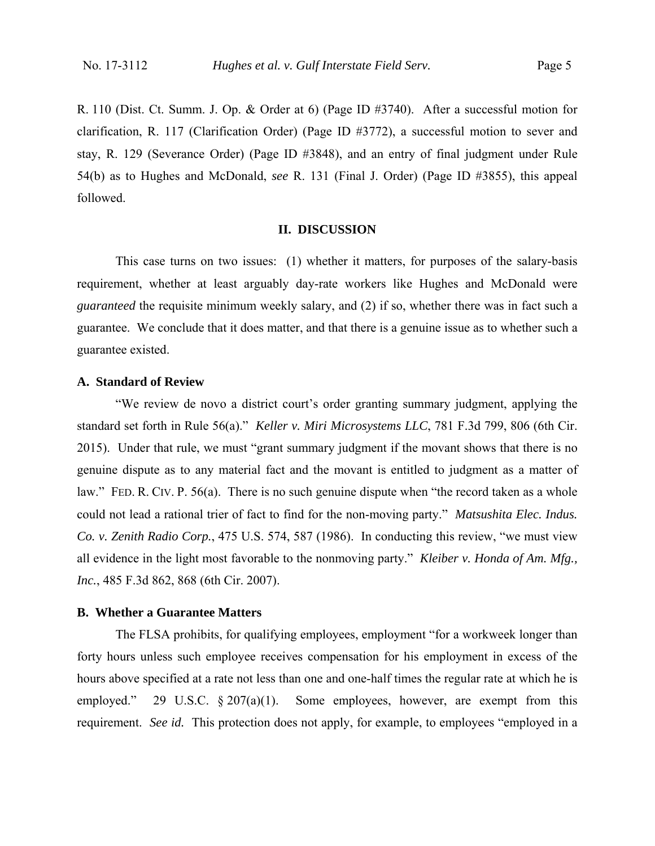R. 110 (Dist. Ct. Summ. J. Op. & Order at 6) (Page ID #3740). After a successful motion for clarification, R. 117 (Clarification Order) (Page ID #3772), a successful motion to sever and stay, R. 129 (Severance Order) (Page ID #3848), and an entry of final judgment under Rule 54(b) as to Hughes and McDonald, *see* R. 131 (Final J. Order) (Page ID #3855), this appeal followed.

#### **II. DISCUSSION**

This case turns on two issues: (1) whether it matters, for purposes of the salary-basis requirement, whether at least arguably day-rate workers like Hughes and McDonald were *guaranteed* the requisite minimum weekly salary, and (2) if so, whether there was in fact such a guarantee. We conclude that it does matter, and that there is a genuine issue as to whether such a guarantee existed.

## **A. Standard of Review**

"We review de novo a district court's order granting summary judgment, applying the standard set forth in Rule 56(a)." *Keller v. Miri Microsystems LLC*, 781 F.3d 799, 806 (6th Cir. 2015). Under that rule, we must "grant summary judgment if the movant shows that there is no genuine dispute as to any material fact and the movant is entitled to judgment as a matter of law." FED. R. CIV. P. 56(a). There is no such genuine dispute when "the record taken as a whole could not lead a rational trier of fact to find for the non-moving party." *Matsushita Elec. Indus. Co. v. Zenith Radio Corp.*, 475 U.S. 574, 587 (1986). In conducting this review, "we must view all evidence in the light most favorable to the nonmoving party." *Kleiber v. Honda of Am. Mfg., Inc.*, 485 F.3d 862, 868 (6th Cir. 2007).

## **B. Whether a Guarantee Matters**

The FLSA prohibits, for qualifying employees, employment "for a workweek longer than forty hours unless such employee receives compensation for his employment in excess of the hours above specified at a rate not less than one and one-half times the regular rate at which he is employed." 29 U.S.C.  $\S 207(a)(1)$ . Some employees, however, are exempt from this requirement. *See id.* This protection does not apply, for example, to employees "employed in a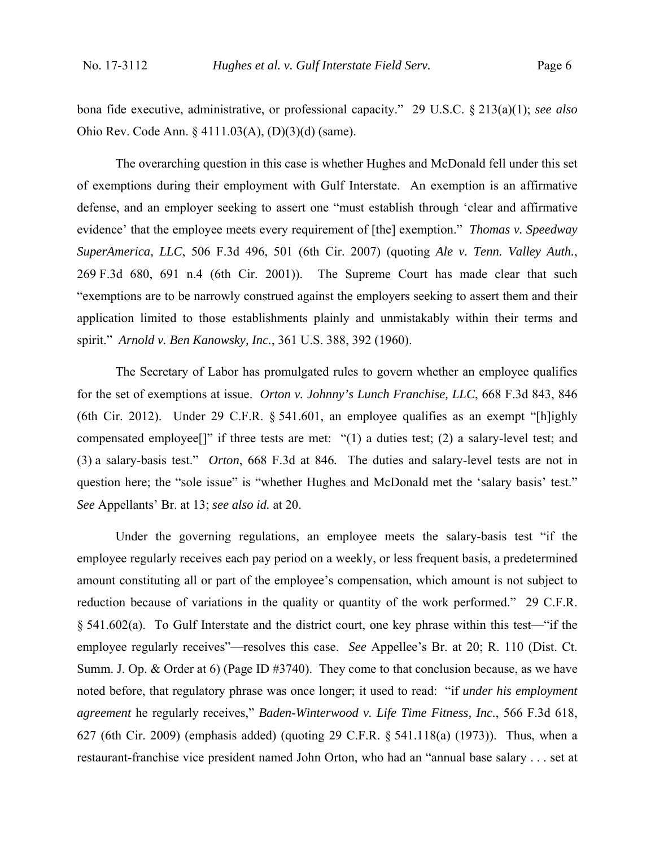bona fide executive, administrative, or professional capacity." 29 U.S.C. § 213(a)(1); *see also* Ohio Rev. Code Ann. § 4111.03(A), (D)(3)(d) (same).

The overarching question in this case is whether Hughes and McDonald fell under this set of exemptions during their employment with Gulf Interstate. An exemption is an affirmative defense, and an employer seeking to assert one "must establish through 'clear and affirmative evidence' that the employee meets every requirement of [the] exemption." *Thomas v. Speedway SuperAmerica, LLC*, 506 F.3d 496, 501 (6th Cir. 2007) (quoting *Ale v. Tenn. Valley Auth.*, 269 F.3d 680, 691 n.4 (6th Cir. 2001)). The Supreme Court has made clear that such "exemptions are to be narrowly construed against the employers seeking to assert them and their application limited to those establishments plainly and unmistakably within their terms and spirit." *Arnold v. Ben Kanowsky, Inc.*, 361 U.S. 388, 392 (1960).

The Secretary of Labor has promulgated rules to govern whether an employee qualifies for the set of exemptions at issue. *Orton v. Johnny's Lunch Franchise, LLC*, 668 F.3d 843, 846 (6th Cir. 2012). Under 29 C.F.R. § 541.601, an employee qualifies as an exempt "[h]ighly compensated employee[]" if three tests are met: "(1) a duties test; (2) a salary-level test; and (3) a salary-basis test." *Orton*, 668 F.3d at 846*.* The duties and salary-level tests are not in question here; the "sole issue" is "whether Hughes and McDonald met the 'salary basis' test." *See* Appellants' Br. at 13; *see also id.* at 20.

Under the governing regulations, an employee meets the salary-basis test "if the employee regularly receives each pay period on a weekly, or less frequent basis, a predetermined amount constituting all or part of the employee's compensation, which amount is not subject to reduction because of variations in the quality or quantity of the work performed." 29 C.F.R. § 541.602(a). To Gulf Interstate and the district court, one key phrase within this test—"if the employee regularly receives"—resolves this case. *See* Appellee's Br. at 20; R. 110 (Dist. Ct. Summ. J. Op. & Order at 6) (Page ID #3740). They come to that conclusion because, as we have noted before, that regulatory phrase was once longer; it used to read: "if *under his employment agreement* he regularly receives," *Baden-Winterwood v. Life Time Fitness, Inc.*, 566 F.3d 618, 627 (6th Cir. 2009) (emphasis added) (quoting 29 C.F.R. § 541.118(a) (1973)). Thus, when a restaurant-franchise vice president named John Orton, who had an "annual base salary . . . set at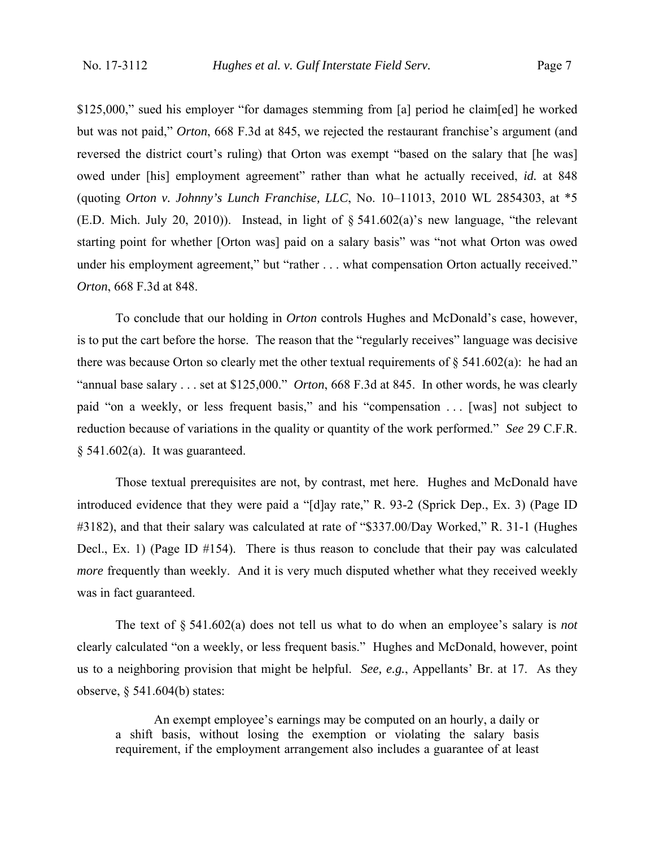\$125,000," sued his employer "for damages stemming from [a] period he claim[ed] he worked but was not paid," *Orton*, 668 F.3d at 845, we rejected the restaurant franchise's argument (and reversed the district court's ruling) that Orton was exempt "based on the salary that [he was] owed under [his] employment agreement" rather than what he actually received, *id.* at 848 (quoting *Orton v. Johnny's Lunch Franchise, LLC*, No. 10–11013, 2010 WL 2854303, at \*5 (E.D. Mich. July 20, 2010)). Instead, in light of  $\S$  541.602(a)'s new language, "the relevant starting point for whether [Orton was] paid on a salary basis" was "not what Orton was owed under his employment agreement," but "rather . . . what compensation Orton actually received." *Orton*, 668 F.3d at 848.

 To conclude that our holding in *Orton* controls Hughes and McDonald's case, however, is to put the cart before the horse. The reason that the "regularly receives" language was decisive there was because Orton so clearly met the other textual requirements of  $\S$  541.602(a): he had an "annual base salary . . . set at \$125,000." *Orton*, 668 F.3d at 845. In other words, he was clearly paid "on a weekly, or less frequent basis," and his "compensation . . . [was] not subject to reduction because of variations in the quality or quantity of the work performed." *See* 29 C.F.R.  $§ 541.602(a)$ . It was guaranteed.

 Those textual prerequisites are not, by contrast, met here. Hughes and McDonald have introduced evidence that they were paid a "[d]ay rate," R. 93-2 (Sprick Dep., Ex. 3) (Page ID #3182), and that their salary was calculated at rate of "\$337.00/Day Worked," R. 31-1 (Hughes Decl., Ex. 1) (Page ID  $\#154$ ). There is thus reason to conclude that their pay was calculated *more* frequently than weekly. And it is very much disputed whether what they received weekly was in fact guaranteed.

 The text of § 541.602(a) does not tell us what to do when an employee's salary is *not* clearly calculated "on a weekly, or less frequent basis." Hughes and McDonald, however, point us to a neighboring provision that might be helpful. *See, e.g.*, Appellants' Br. at 17. As they observe, § 541.604(b) states:

An exempt employee's earnings may be computed on an hourly, a daily or a shift basis, without losing the exemption or violating the salary basis requirement, if the employment arrangement also includes a guarantee of at least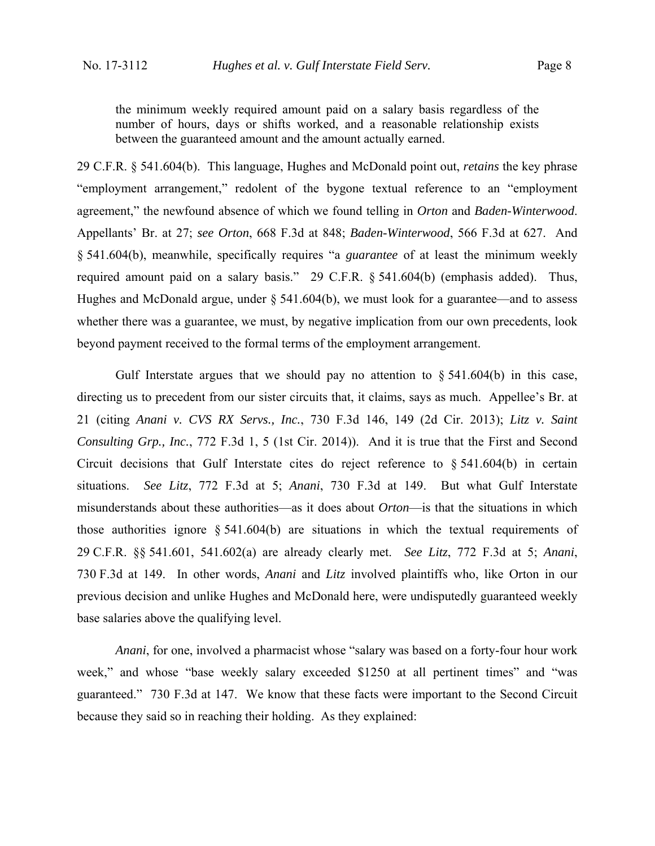the minimum weekly required amount paid on a salary basis regardless of the number of hours, days or shifts worked, and a reasonable relationship exists between the guaranteed amount and the amount actually earned.

29 C.F.R. § 541.604(b). This language, Hughes and McDonald point out, *retains* the key phrase "employment arrangement," redolent of the bygone textual reference to an "employment agreement," the newfound absence of which we found telling in *Orton* and *Baden-Winterwood*. Appellants' Br. at 27; *see Orton*, 668 F.3d at 848; *Baden-Winterwood*, 566 F.3d at 627. And § 541.604(b), meanwhile, specifically requires "a *guarantee* of at least the minimum weekly required amount paid on a salary basis." 29 C.F.R. § 541.604(b) (emphasis added). Thus, Hughes and McDonald argue, under § 541.604(b), we must look for a guarantee—and to assess whether there was a guarantee, we must, by negative implication from our own precedents, look beyond payment received to the formal terms of the employment arrangement.

Gulf Interstate argues that we should pay no attention to  $\S 541.604(b)$  in this case, directing us to precedent from our sister circuits that, it claims, says as much. Appellee's Br. at 21 (citing *Anani v. CVS RX Servs., Inc.*, 730 F.3d 146, 149 (2d Cir. 2013); *Litz v. Saint Consulting Grp., Inc.*, 772 F.3d 1, 5 (1st Cir. 2014)). And it is true that the First and Second Circuit decisions that Gulf Interstate cites do reject reference to § 541.604(b) in certain situations. *See Litz*, 772 F.3d at 5; *Anani*, 730 F.3d at 149. But what Gulf Interstate misunderstands about these authorities—as it does about *Orton*—is that the situations in which those authorities ignore § 541.604(b) are situations in which the textual requirements of 29 C.F.R. §§ 541.601, 541.602(a) are already clearly met. *See Litz*, 772 F.3d at 5; *Anani*, 730 F.3d at 149. In other words, *Anani* and *Litz* involved plaintiffs who, like Orton in our previous decision and unlike Hughes and McDonald here, were undisputedly guaranteed weekly base salaries above the qualifying level.

*Anani*, for one, involved a pharmacist whose "salary was based on a forty-four hour work week," and whose "base weekly salary exceeded \$1250 at all pertinent times" and "was guaranteed." 730 F.3d at 147. We know that these facts were important to the Second Circuit because they said so in reaching their holding. As they explained: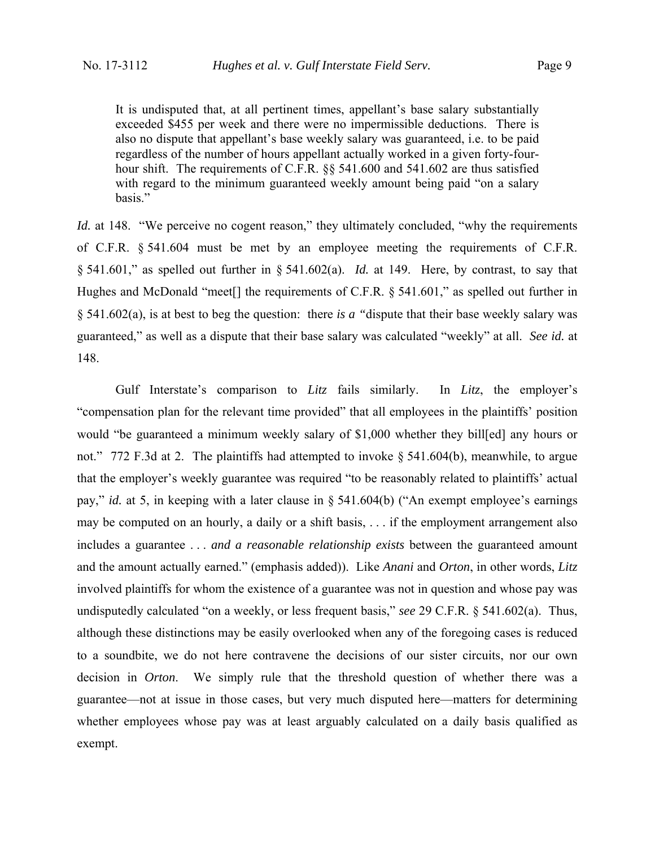It is undisputed that, at all pertinent times, appellant's base salary substantially exceeded \$455 per week and there were no impermissible deductions. There is also no dispute that appellant's base weekly salary was guaranteed, i.e. to be paid regardless of the number of hours appellant actually worked in a given forty-fourhour shift. The requirements of C.F.R. §§ 541.600 and 541.602 are thus satisfied with regard to the minimum guaranteed weekly amount being paid "on a salary" basis."

*Id.* at 148. "We perceive no cogent reason," they ultimately concluded, "why the requirements of C.F.R. § 541.604 must be met by an employee meeting the requirements of C.F.R. § 541.601," as spelled out further in § 541.602(a). *Id.* at 149. Here, by contrast, to say that Hughes and McDonald "meet<sup>[]</sup> the requirements of C.F.R. § 541.601," as spelled out further in § 541.602(a), is at best to beg the question: there *is a "*dispute that their base weekly salary was guaranteed," as well as a dispute that their base salary was calculated "weekly" at all. *See id.* at 148.

Gulf Interstate's comparison to *Litz* fails similarly. In *Litz*, the employer's "compensation plan for the relevant time provided" that all employees in the plaintiffs' position would "be guaranteed a minimum weekly salary of \$1,000 whether they bill[ed] any hours or not." 772 F.3d at 2. The plaintiffs had attempted to invoke § 541.604(b), meanwhile, to argue that the employer's weekly guarantee was required "to be reasonably related to plaintiffs' actual pay," *id.* at 5, in keeping with a later clause in § 541.604(b) ("An exempt employee's earnings may be computed on an hourly, a daily or a shift basis, . . . if the employment arrangement also includes a guarantee . . . *and a reasonable relationship exists* between the guaranteed amount and the amount actually earned." (emphasis added)). Like *Anani* and *Orton*, in other words, *Litz*  involved plaintiffs for whom the existence of a guarantee was not in question and whose pay was undisputedly calculated "on a weekly, or less frequent basis," *see* 29 C.F.R. § 541.602(a). Thus, although these distinctions may be easily overlooked when any of the foregoing cases is reduced to a soundbite, we do not here contravene the decisions of our sister circuits, nor our own decision in *Orton*. We simply rule that the threshold question of whether there was a guarantee—not at issue in those cases, but very much disputed here—matters for determining whether employees whose pay was at least arguably calculated on a daily basis qualified as exempt.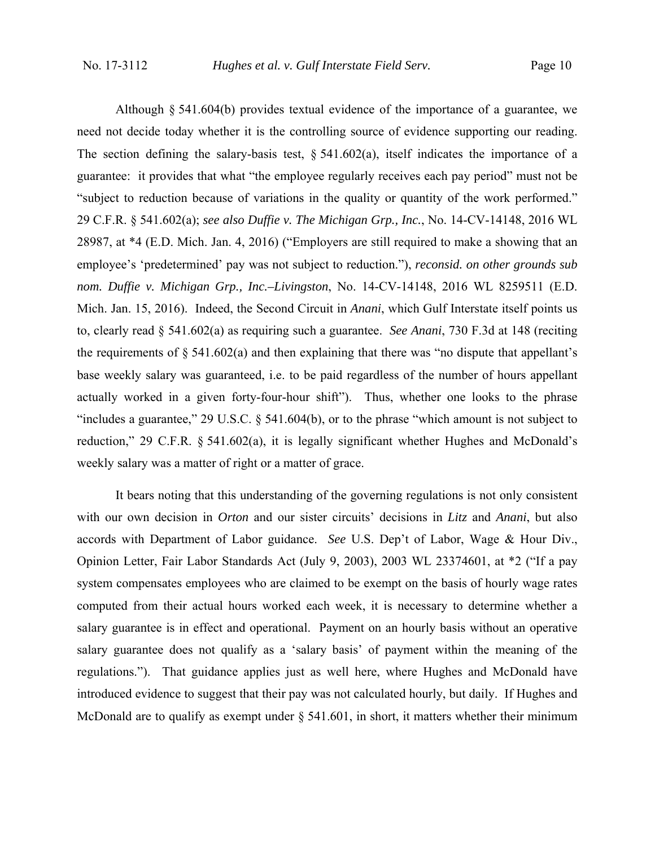Although § 541.604(b) provides textual evidence of the importance of a guarantee, we need not decide today whether it is the controlling source of evidence supporting our reading. The section defining the salary-basis test,  $\S$  541.602(a), itself indicates the importance of a guarantee: it provides that what "the employee regularly receives each pay period" must not be "subject to reduction because of variations in the quality or quantity of the work performed." 29 C.F.R. § 541.602(a); *see also Duffie v. The Michigan Grp., Inc.*, No. 14-CV-14148, 2016 WL 28987, at \*4 (E.D. Mich. Jan. 4, 2016) ("Employers are still required to make a showing that an employee's 'predetermined' pay was not subject to reduction."), *reconsid. on other grounds sub nom. Duffie v. Michigan Grp., Inc.–Livingston*, No. 14-CV-14148, 2016 WL 8259511 (E.D. Mich. Jan. 15, 2016). Indeed, the Second Circuit in *Anani*, which Gulf Interstate itself points us to, clearly read § 541.602(a) as requiring such a guarantee. *See Anani*, 730 F.3d at 148 (reciting the requirements of § 541.602(a) and then explaining that there was "no dispute that appellant's base weekly salary was guaranteed, i.e. to be paid regardless of the number of hours appellant actually worked in a given forty-four-hour shift"). Thus, whether one looks to the phrase "includes a guarantee," 29 U.S.C. § 541.604(b), or to the phrase "which amount is not subject to reduction," 29 C.F.R. § 541.602(a), it is legally significant whether Hughes and McDonald's weekly salary was a matter of right or a matter of grace.

It bears noting that this understanding of the governing regulations is not only consistent with our own decision in *Orton* and our sister circuits' decisions in *Litz* and *Anani*, but also accords with Department of Labor guidance. *See* U.S. Dep't of Labor, Wage & Hour Div., Opinion Letter, Fair Labor Standards Act (July 9, 2003), 2003 WL 23374601, at \*2 ("If a pay system compensates employees who are claimed to be exempt on the basis of hourly wage rates computed from their actual hours worked each week, it is necessary to determine whether a salary guarantee is in effect and operational. Payment on an hourly basis without an operative salary guarantee does not qualify as a 'salary basis' of payment within the meaning of the regulations."). That guidance applies just as well here, where Hughes and McDonald have introduced evidence to suggest that their pay was not calculated hourly, but daily. If Hughes and McDonald are to qualify as exempt under  $\S$  541.601, in short, it matters whether their minimum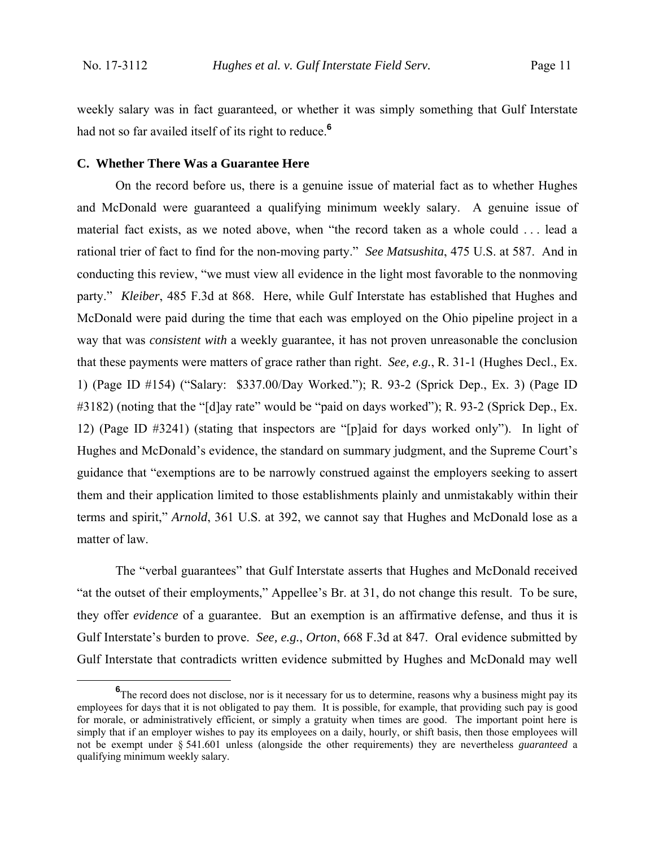weekly salary was in fact guaranteed, or whether it was simply something that Gulf Interstate had not so far availed itself of its right to reduce.**<sup>6</sup>**

# **C. Whether There Was a Guarantee Here**

On the record before us, there is a genuine issue of material fact as to whether Hughes and McDonald were guaranteed a qualifying minimum weekly salary. A genuine issue of material fact exists, as we noted above, when "the record taken as a whole could . . . lead a rational trier of fact to find for the non-moving party." *See Matsushita*, 475 U.S. at 587. And in conducting this review, "we must view all evidence in the light most favorable to the nonmoving party." *Kleiber*, 485 F.3d at 868. Here, while Gulf Interstate has established that Hughes and McDonald were paid during the time that each was employed on the Ohio pipeline project in a way that was *consistent with* a weekly guarantee, it has not proven unreasonable the conclusion that these payments were matters of grace rather than right. *See, e.g.*, R. 31-1 (Hughes Decl., Ex. 1) (Page ID #154) ("Salary: \$337.00/Day Worked."); R. 93-2 (Sprick Dep., Ex. 3) (Page ID #3182) (noting that the "[d]ay rate" would be "paid on days worked"); R. 93-2 (Sprick Dep., Ex. 12) (Page ID #3241) (stating that inspectors are "[p]aid for days worked only"). In light of Hughes and McDonald's evidence, the standard on summary judgment, and the Supreme Court's guidance that "exemptions are to be narrowly construed against the employers seeking to assert them and their application limited to those establishments plainly and unmistakably within their terms and spirit," *Arnold*, 361 U.S. at 392, we cannot say that Hughes and McDonald lose as a matter of law.

The "verbal guarantees" that Gulf Interstate asserts that Hughes and McDonald received "at the outset of their employments," Appellee's Br. at 31, do not change this result. To be sure, they offer *evidence* of a guarantee. But an exemption is an affirmative defense, and thus it is Gulf Interstate's burden to prove. *See, e.g.*, *Orton*, 668 F.3d at 847. Oral evidence submitted by Gulf Interstate that contradicts written evidence submitted by Hughes and McDonald may well

**<sup>6</sup>** <sup>6</sup>The record does not disclose, nor is it necessary for us to determine, reasons why a business might pay its employees for days that it is not obligated to pay them. It is possible, for example, that providing such pay is good for morale, or administratively efficient, or simply a gratuity when times are good. The important point here is simply that if an employer wishes to pay its employees on a daily, hourly, or shift basis, then those employees will not be exempt under § 541.601 unless (alongside the other requirements) they are nevertheless *guaranteed* a qualifying minimum weekly salary.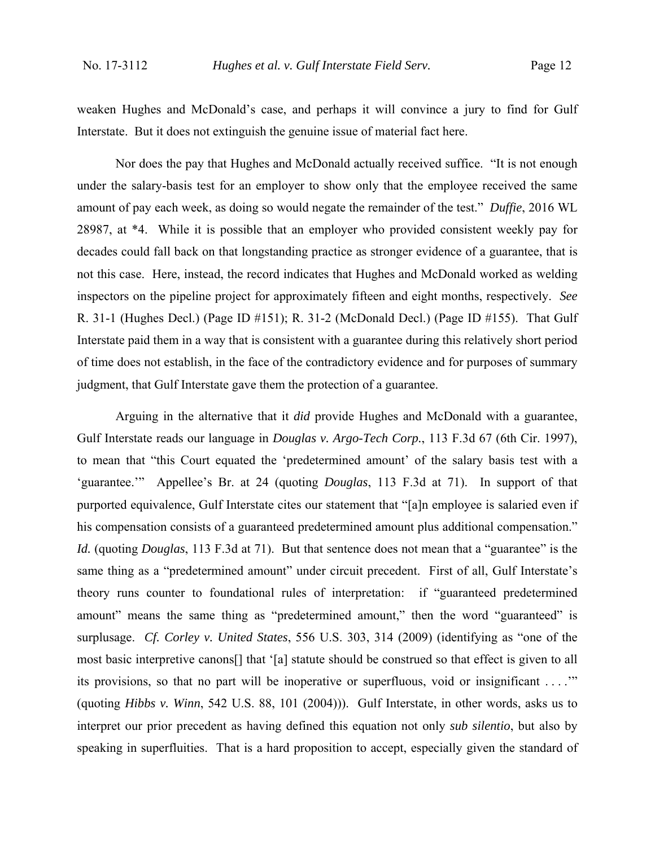weaken Hughes and McDonald's case, and perhaps it will convince a jury to find for Gulf Interstate. But it does not extinguish the genuine issue of material fact here.

Nor does the pay that Hughes and McDonald actually received suffice. "It is not enough under the salary-basis test for an employer to show only that the employee received the same amount of pay each week, as doing so would negate the remainder of the test." *Duffie*, 2016 WL 28987, at \*4. While it is possible that an employer who provided consistent weekly pay for decades could fall back on that longstanding practice as stronger evidence of a guarantee, that is not this case. Here, instead, the record indicates that Hughes and McDonald worked as welding inspectors on the pipeline project for approximately fifteen and eight months, respectively. *See* R. 31-1 (Hughes Decl.) (Page ID #151); R. 31-2 (McDonald Decl.) (Page ID #155). That Gulf Interstate paid them in a way that is consistent with a guarantee during this relatively short period of time does not establish, in the face of the contradictory evidence and for purposes of summary judgment, that Gulf Interstate gave them the protection of a guarantee.

 Arguing in the alternative that it *did* provide Hughes and McDonald with a guarantee, Gulf Interstate reads our language in *Douglas v. Argo-Tech Corp.*, 113 F.3d 67 (6th Cir. 1997), to mean that "this Court equated the 'predetermined amount' of the salary basis test with a 'guarantee.'" Appellee's Br. at 24 (quoting *Douglas*, 113 F.3d at 71). In support of that purported equivalence, Gulf Interstate cites our statement that "[a]n employee is salaried even if his compensation consists of a guaranteed predetermined amount plus additional compensation." *Id.* (quoting *Douglas*, 113 F.3d at 71). But that sentence does not mean that a "guarantee" is the same thing as a "predetermined amount" under circuit precedent. First of all, Gulf Interstate's theory runs counter to foundational rules of interpretation: if "guaranteed predetermined amount" means the same thing as "predetermined amount," then the word "guaranteed" is surplusage. *Cf. Corley v. United States*, 556 U.S. 303, 314 (2009) (identifying as "one of the most basic interpretive canons[] that '[a] statute should be construed so that effect is given to all its provisions, so that no part will be inoperative or superfluous, void or insignificant . . . .'" (quoting *Hibbs v. Winn*, 542 U.S. 88, 101 (2004))). Gulf Interstate, in other words, asks us to interpret our prior precedent as having defined this equation not only *sub silentio*, but also by speaking in superfluities. That is a hard proposition to accept, especially given the standard of